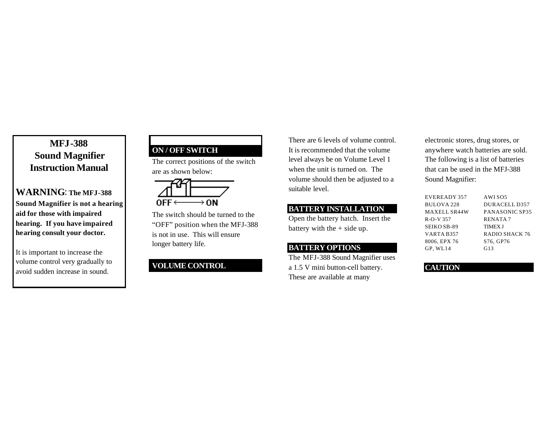# **MFJ-388 Sound Magnifier Instruction Manual**

# **WARNING**: **The MFJ-388 Sound Magnifier is not a hearing aid for those with impaired hearing. If you have impaired hearing consult your doctor.**

It is important to increase the volume control very gradually to avoid sudden increase in sound.

# **ON / OFF SWITCH**

The correct positions of the switch are as shown below:



The switch should be turned to the "OFF" position when the MFJ-388 is not in use. This will ensure longer battery life.

# **VOLUME CONTROL**

There are 6 levels of volume control. It is recommended that the volume level always be on Volume Level 1 when the unit is turned on. The volume should then be adjusted to a suitable level.

### **BATTERY INSTALLATION**

Open the battery hatch. Insert the battery with the  $+$  side up.

#### **BATTERY OPTIONS**

The MFJ-388 Sound Magnifier uses a 1.5 V mini button-cell battery. These are available at many

electronic stores, drug stores, or anywhere watch batteries are sold. The following is a list of batteries that can be used in the MFJ-388 Sound Magnifier:

| EVEREADY 357 | AWI SO <sub>5</sub> |
|--------------|---------------------|
| BULOVA 228   | DURACELL D357       |
| MAXELL SR44W | PANASONIC SP35      |
| R-O-V 357    | <b>RENATA7</b>      |
| SEIKO SB-89  | <b>TIMEX J</b>      |
| VARTA B357   | RADIO SHACK 76      |
| 8006. EPX 76 | S76. GP76           |
| GP.WL14      | G13                 |

#### **CAUTION**